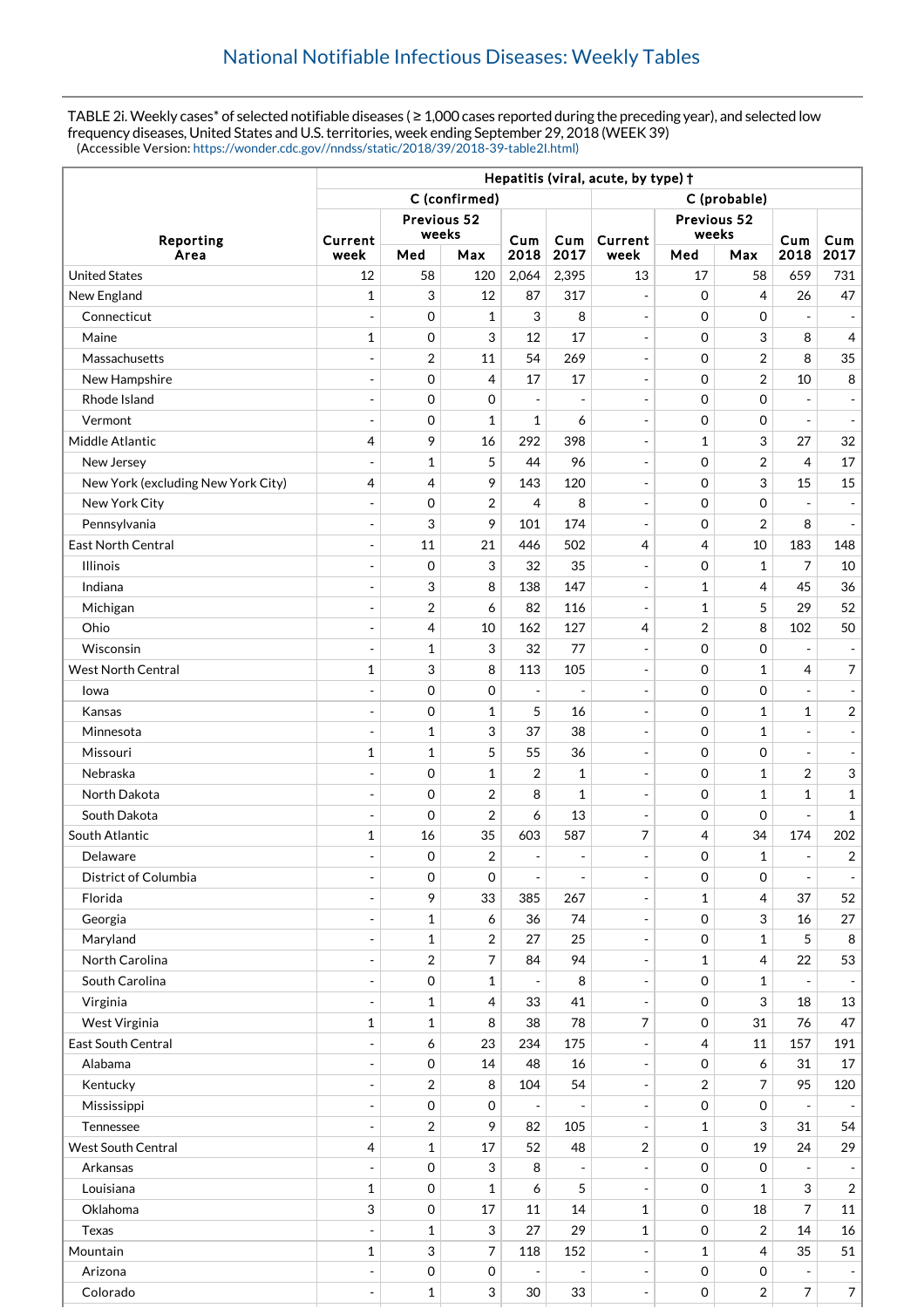TABLE 2i. Weekly cases\* of selected notifiable diseases (≥ 1,000 cases reported during the preceding year), and selected low frequency diseases, United States and U.S. territories, week ending September 29, 2018 (WEEK 39) (Accessible Version: [https://wonder.cdc.gov//nndss/static/2018/39/2018-39-table2I.html\)](https://wonder.cdc.gov//nndss/static/2018/39/2018-39-table2I.html)

|                                    | Hepatitis (viral, acute, by type) + |                     |                  |                          |                          |                                               |                      |                           |                          |                          |  |
|------------------------------------|-------------------------------------|---------------------|------------------|--------------------------|--------------------------|-----------------------------------------------|----------------------|---------------------------|--------------------------|--------------------------|--|
|                                    | C (confirmed)                       |                     |                  |                          |                          | C (probable)                                  |                      |                           |                          |                          |  |
| Reporting                          | Previous 52                         |                     |                  |                          |                          |                                               |                      |                           |                          |                          |  |
|                                    | Current                             | weeks               |                  | Cum                      | <b>Cum</b>               | Current                                       | Previous 52<br>weeks |                           | Cum                      | Cum                      |  |
| Area                               | week                                | Med                 | Max              | 2018                     | 2017                     | week                                          | Med                  | Max                       | 2018                     | 2017                     |  |
| <b>United States</b>               | 12                                  | 58                  | 120              | 2,064                    | 2,395                    | 13                                            | 17                   | 58                        | 659                      | 731                      |  |
| New England                        | $\mathbf{1}$                        | 3                   | 12               | 87                       | 317                      | $\overline{\phantom{a}}$                      | $\Omega$             | 4                         | 26                       | 47                       |  |
| Connecticut                        |                                     | 0                   | $\mathbf{1}$     | 3                        | 8                        | $\overline{\phantom{a}}$                      | $\mathbf 0$          | $\mathbf 0$               |                          |                          |  |
| Maine                              | $\mathbf{1}$                        | $\mathbf 0$         | 3                | 12                       | 17                       | $\overline{\phantom{a}}$                      | $\mathbf 0$          | 3                         | 8                        | $\overline{4}$           |  |
| Massachusetts                      | $\overline{a}$                      | $\overline{2}$      | 11               | 54                       | 269                      | $\blacksquare$                                | $\mathbf 0$          | $\overline{2}$            | 8                        | 35                       |  |
| New Hampshire                      | ÷                                   | $\mathbf 0$         | 4                | 17                       | 17                       | $\overline{\phantom{a}}$                      | $\mathbf 0$          | $\overline{2}$            | 10                       | 8                        |  |
| Rhode Island                       | $\overline{a}$                      | $\mathbf 0$         | 0                | $\overline{a}$           | ÷,                       | $\overline{\phantom{a}}$                      | $\mathbf 0$          | $\mathbf 0$               |                          |                          |  |
| Vermont                            | $\overline{a}$                      | 0                   | $\mathbf{1}$     | $\mathbf 1$              | 6                        | $\blacksquare$                                | $\mathbf 0$          | $\mathbf 0$               | $\overline{a}$           |                          |  |
| Middle Atlantic                    | 4                                   | 9                   | 16               | 292                      | 398                      | $\overline{\phantom{a}}$                      | $\mathbf 1$          | 3                         | 27                       | 32                       |  |
| New Jersey                         | ÷                                   | $\mathbf 1$         | 5                | 44                       | 96                       | $\overline{\phantom{a}}$                      | $\mathbf 0$          | $\overline{2}$            | $\overline{4}$           | 17                       |  |
| New York (excluding New York City) | 4                                   | 4                   | 9                | 143                      | 120                      | $\overline{\phantom{a}}$                      | $\mathbf 0$          | 3                         | 15                       | 15                       |  |
| New York City                      | $\overline{a}$                      | 0                   | $\overline{2}$   | $\overline{4}$           | 8                        | $\overline{\phantom{a}}$                      | $\mathbf 0$          | $\mathbf 0$               |                          |                          |  |
| Pennsylvania                       | $\overline{a}$                      | 3                   | 9                | 101                      | 174                      | $\blacksquare$                                | $\mathbf 0$          | $\overline{2}$            | 8                        |                          |  |
| <b>East North Central</b>          |                                     | 11                  | 21               | 446                      | 502                      | 4                                             | 4                    | 10                        | 183                      | 148                      |  |
| <b>Illinois</b>                    | $\overline{a}$                      | 0                   | 3                | 32                       | 35                       | $\overline{\phantom{a}}$                      | $\mathbf 0$          | $\mathbf{1}$              | 7                        | 10                       |  |
| Indiana                            |                                     | 3                   | 8                | 138                      | 147                      | $\overline{\phantom{a}}$                      | 1                    | 4                         | 45                       | 36                       |  |
| Michigan                           | $\overline{a}$                      | 2                   | 6                | 82                       | 116                      | $\blacksquare$                                | $\mathbf 1$          | 5                         | 29                       | 52                       |  |
| Ohio                               | $\overline{a}$                      | 4                   | 10               | 162                      | 127                      | 4                                             | $\overline{2}$       | 8                         | 102                      | 50                       |  |
| Wisconsin                          | $\overline{a}$                      | $\mathbf 1$         | 3                | 32                       | 77                       | $\overline{\phantom{a}}$                      | $\mathbf 0$          | $\mathbf 0$               | $\overline{\phantom{0}}$ |                          |  |
| <b>West North Central</b>          | 1                                   | 3                   | 8                | 113                      | 105                      | $\overline{\phantom{a}}$                      | $\mathbf 0$          | $\mathbf{1}$              | 4                        | $\overline{7}$           |  |
| lowa                               | ÷                                   | $\mathbf 0$         | 0                | ÷                        | ÷,                       | $\overline{\phantom{a}}$                      | $\mathbf 0$          | $\mathbf 0$               | ÷,                       |                          |  |
| Kansas                             | $\overline{a}$                      | 0                   | $\mathbf{1}$     | 5                        | 16                       | $\blacksquare$                                | $\mathbf 0$          | $\mathbf{1}$              | $\mathbf{1}$             | $\overline{c}$           |  |
| Minnesota                          | $\overline{a}$                      | $\mathbf{1}$        | 3                | 37                       | 38                       | $\overline{\phantom{a}}$                      | $\mathbf 0$          | $\mathbf{1}$              | $\overline{a}$           | $\overline{\phantom{a}}$ |  |
| Missouri                           | $\mathbf{1}$                        | $\mathbf{1}$        | 5                | 55                       | 36                       | $\overline{\phantom{a}}$                      | $\mathbf 0$          | $\mathbf 0$               | $\overline{a}$           | $\blacksquare$           |  |
| Nebraska                           |                                     | $\mathbf 0$         | $\mathbf{1}$     | 2                        | $\mathbf 1$              | $\overline{\phantom{a}}$                      | $\mathbf 0$          | $\mathbf{1}$              | 2                        | 3                        |  |
| North Dakota                       | $\overline{a}$                      | 0                   | $\boldsymbol{2}$ | 8                        | $\mathbf 1$              | $\overline{\phantom{a}}$                      | $\mathbf 0$          | $\mathbf{1}$              | $\mathbf{1}$             | $\mathbf 1$              |  |
| South Dakota                       |                                     | $\mathbf 0$         | $\boldsymbol{2}$ | 6                        | 13                       | $\overline{\phantom{a}}$                      | $\mathbf 0$          | $\mathbf 0$               |                          | $\mathbf{1}$             |  |
| South Atlantic                     | 1                                   | 16                  | 35               | 603                      | 587                      | 7                                             | $\overline{4}$       | 34                        | 174                      | 202                      |  |
| Delaware                           |                                     | 0                   | $\boldsymbol{2}$ |                          |                          |                                               | 0                    | 1                         |                          | $\overline{\mathbf{c}}$  |  |
| District of Columbia               | ÷                                   | 0                   | $\mathbf 0$      | $\overline{\phantom{a}}$ | $\overline{\phantom{a}}$ | $\overline{\phantom{a}}$                      | 0                    | 0                         | $\overline{a}$           |                          |  |
| Florida                            |                                     | 9                   | 33               | 385                      | 267                      | $\overline{\phantom{a}}$                      | $\mathbf 1$          | $\overline{4}$            | 37                       | 52                       |  |
| Georgia                            | ÷                                   | $\mathbf{1}$        | 6                | 36                       | 74                       | $\overline{\phantom{a}}$                      | 0                    | 3                         | 16                       | 27                       |  |
| Maryland                           | $\overline{a}$                      | $\mathbf{1}$        | $\overline{2}$   | 27                       | 25                       | $\overline{\phantom{a}}$                      | $\mathbf 0$          | 1                         | 5                        | 8                        |  |
| North Carolina                     | $\overline{a}$                      | $\overline{2}$      | $\overline{7}$   | 84                       | 94                       | $\overline{\phantom{a}}$                      | 1                    | 4                         | 22                       | 53                       |  |
| South Carolina                     | $\overline{a}$                      | $\,0\,$             | $\mathbf 1$      |                          | 8                        | $\blacksquare$                                | $\mathsf{O}\xspace$  | $\mathbf{1}$              |                          |                          |  |
| Virginia                           | $\overline{a}$                      | $\mathbf{1}$        | 4                | 33                       | 41                       | $\overline{\phantom{a}}$                      | $\mathbf 0$          | $\ensuremath{\mathsf{3}}$ | 18                       | 13                       |  |
| West Virginia                      | $\mathbf{1}$                        | $\mathbf{1}$        | 8                | 38                       | 78                       | $\boldsymbol{7}$                              | $\mathbf 0$          | 31                        | 76                       | 47                       |  |
| East South Central                 |                                     | 6                   | 23               | 234                      | 175                      | $\overline{\phantom{a}}$                      | 4                    | 11                        | 157                      | 191                      |  |
| Alabama                            | $\overline{a}$                      | $\mathsf{O}\xspace$ | 14               | 48                       | 16                       | $\Box$                                        | $\mathbf 0$          | 6                         | 31                       | 17                       |  |
| Kentucky                           | $\overline{a}$                      | $\overline{2}$      | 8                | 104                      | 54                       | $\blacksquare$                                | $\overline{2}$       | $\overline{7}$            | 95                       | 120                      |  |
| Mississippi                        | $\overline{a}$                      | $\,0\,$             | $\mathbf 0$      | $\overline{\phantom{a}}$ | $\overline{\phantom{m}}$ | $\qquad \qquad -$                             | $\mathbf 0$          | $\boldsymbol{0}$          | $\overline{\phantom{a}}$ |                          |  |
| Tennessee                          | $\overline{a}$                      | 2                   | 9                | 82                       | 105                      | $\overline{\phantom{a}}$                      | 1                    | 3                         | 31                       | 54                       |  |
| <b>West South Central</b>          | 4                                   | $\mathbf 1$         | 17               | 52                       | 48                       | $\sqrt{2}$                                    | $\mathbf 0$          | 19                        | 24                       | 29                       |  |
| Arkansas                           |                                     | $\mathsf{O}\xspace$ | 3                | 8                        |                          | $\overline{\phantom{a}}$                      | $\mathbf 0$          | $\boldsymbol{0}$          |                          |                          |  |
| Louisiana                          | $\mathbf{1}$                        | $\mathsf{O}\xspace$ | $\mathbf{1}$     | 6                        | 5                        | $\blacksquare$                                | $\mathbf 0$          | $\mathbf{1}$              | 3                        | $\overline{2}$           |  |
| Oklahoma                           | 3                                   | $\mathbf 0$         | $17\,$           | 11                       | 14                       | $\mathbf{1}$                                  | $\mathbf 0$          | 18                        | 7                        | 11                       |  |
| Texas                              |                                     | $\mathbf{1}$        | 3                | 27                       | 29                       | $\mathbf{1}$                                  | $\mathbf 0$          | $\overline{2}$            | 14                       | 16                       |  |
| Mountain                           | $\mathbf{1}$                        | 3                   | $\overline{7}$   | 118                      | 152                      | $\blacksquare$                                | 1                    | $\overline{4}$            | 35                       | 51                       |  |
| Arizona                            | ÷,                                  | $\,0\,$             | $\mathbf 0$      |                          | $\overline{a}$           |                                               | $\mathsf{O}\xspace$  | 0                         | $\overline{a}$           |                          |  |
| Colorado                           | $\overline{\phantom{a}}$            | $\mathbf 1$         | 3                | 30                       | 33                       | $\qquad \qquad -$<br>$\overline{\phantom{a}}$ | $\mathbf 0$          | $\sqrt{2}$                | 7                        | $\overline{7}$           |  |
|                                    |                                     |                     |                  |                          |                          |                                               |                      |                           |                          |                          |  |